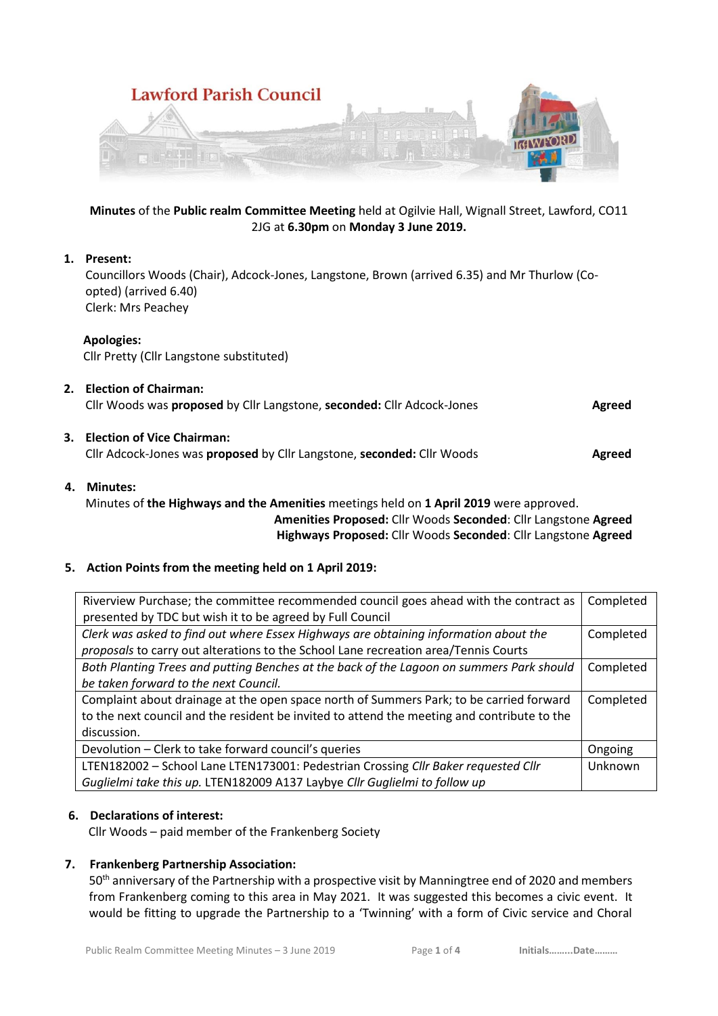

## **Minutes** of the **Public realm Committee Meeting** held at Ogilvie Hall, Wignall Street, Lawford, CO11 2JG at **6.30pm** on **Monday 3 June 2019.**

# **1. Present:**

Councillors Woods (Chair), Adcock-Jones, Langstone, Brown (arrived 6.35) and Mr Thurlow (Coopted) (arrived 6.40) Clerk: Mrs Peachey

## **Apologies:**

Cllr Pretty (Cllr Langstone substituted)

| 2. | <b>Election of Chairman:</b><br>Cllr Woods was <b>proposed</b> by Cllr Langstone, <b>seconded:</b> Cllr Adcock-Jones | Agreed |
|----|----------------------------------------------------------------------------------------------------------------------|--------|
|    | 3. Election of Vice Chairman:<br>Cllr Adcock-Jones was proposed by Cllr Langstone, seconded: Cllr Woods              | Agreed |
|    | $\mathbf{A}$ $\mathbf{A}$ $\mathbf{A}$ $\mathbf{A}$ $\mathbf{A}$ $\mathbf{A}$ $\mathbf{A}$ $\mathbf{A}$              |        |

## **4. Minutes:**

Minutes of **the Highways and the Amenities** meetings held on **1 April 2019** were approved. **Amenities Proposed:** Cllr Woods **Seconded**: Cllr Langstone **Agreed** 

 **Highways Proposed:** Cllr Woods **Seconded**: Cllr Langstone **Agreed** 

# **5. Action Points from the meeting held on 1 April 2019:**

| Riverview Purchase; the committee recommended council goes ahead with the contract as       | Completed |
|---------------------------------------------------------------------------------------------|-----------|
| presented by TDC but wish it to be agreed by Full Council                                   |           |
| Clerk was asked to find out where Essex Highways are obtaining information about the        | Completed |
| proposals to carry out alterations to the School Lane recreation area/Tennis Courts         |           |
| Both Planting Trees and putting Benches at the back of the Lagoon on summers Park should    | Completed |
| be taken forward to the next Council.                                                       |           |
| Complaint about drainage at the open space north of Summers Park; to be carried forward     | Completed |
| to the next council and the resident be invited to attend the meeting and contribute to the |           |
| discussion.                                                                                 |           |
| Devolution - Clerk to take forward council's queries                                        | Ongoing   |
| LTEN182002 - School Lane LTEN173001: Pedestrian Crossing Cllr Baker requested Cllr          | Unknown   |
| Guglielmi take this up. LTEN182009 A137 Laybye Cllr Guglielmi to follow up                  |           |

# **6. Declarations of interest:**

Cllr Woods – paid member of the Frankenberg Society

# **7. Frankenberg Partnership Association:**

50<sup>th</sup> anniversary of the Partnership with a prospective visit by Manningtree end of 2020 and members from Frankenberg coming to this area in May 2021. It was suggested this becomes a civic event. It would be fitting to upgrade the Partnership to a 'Twinning' with a form of Civic service and Choral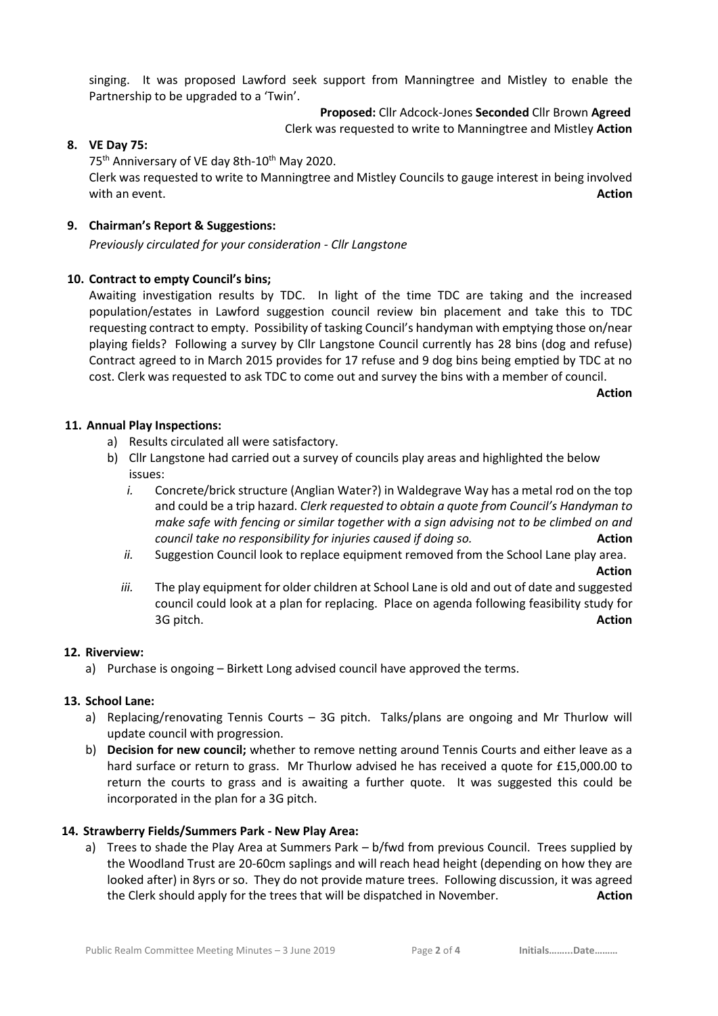singing. It was proposed Lawford seek support from Manningtree and Mistley to enable the Partnership to be upgraded to a 'Twin'.

# **Proposed:** Cllr Adcock-Jones **Seconded** Cllr Brown **Agreed**

Clerk was requested to write to Manningtree and Mistley **Action** 

## **8. VE Day 75:**

75<sup>th</sup> Anniversary of VE day 8th-10<sup>th</sup> May 2020.

Clerk was requested to write to Manningtree and Mistley Councils to gauge interest in being involved with an event. **Action** 

## **9. Chairman's Report & Suggestions:**

*Previously circulated for your consideration - Cllr Langstone*

## **10. Contract to empty Council's bins;**

Awaiting investigation results by TDC. In light of the time TDC are taking and the increased population/estates in Lawford suggestion council review bin placement and take this to TDC requesting contract to empty. Possibility of tasking Council's handyman with emptying those on/near playing fields? Following a survey by Cllr Langstone Council currently has 28 bins (dog and refuse) Contract agreed to in March 2015 provides for 17 refuse and 9 dog bins being emptied by TDC at no cost. Clerk was requested to ask TDC to come out and survey the bins with a member of council.

**Action**

## **11. Annual Play Inspections:**

- a) Results circulated all were satisfactory.
- b) Cllr Langstone had carried out a survey of councils play areas and highlighted the below issues:
	- *i.* Concrete/brick structure (Anglian Water?) in Waldegrave Way has a metal rod on the top and could be a trip hazard. *Clerk requested to obtain a quote from Council's Handyman to make safe with fencing or similar together with a sign advising not to be climbed on and council take no responsibility for injuries caused if doing so.* **Action**
	- *ii.* Suggestion Council look to replace equipment removed from the School Lane play area.

**Action** *iii.* The play equipment for older children at School Lane is old and out of date and suggested council could look at a plan for replacing. Place on agenda following feasibility study for 3G pitch. **Action**

# **12. Riverview:**

a) Purchase is ongoing – Birkett Long advised council have approved the terms.

# **13. School Lane:**

- a) Replacing/renovating Tennis Courts 3G pitch. Talks/plans are ongoing and Mr Thurlow will update council with progression.
- b) **Decision for new council;** whether to remove netting around Tennis Courts and either leave as a hard surface or return to grass. Mr Thurlow advised he has received a quote for £15,000.00 to return the courts to grass and is awaiting a further quote. It was suggested this could be incorporated in the plan for a 3G pitch.

# **14. Strawberry Fields/Summers Park - New Play Area:**

a) Trees to shade the Play Area at Summers Park – b/fwd from previous Council. Trees supplied by the Woodland Trust are 20-60cm saplings and will reach head height (depending on how they are looked after) in 8yrs or so. They do not provide mature trees. Following discussion, it was agreed the Clerk should apply for the trees that will be dispatched in November. **Action**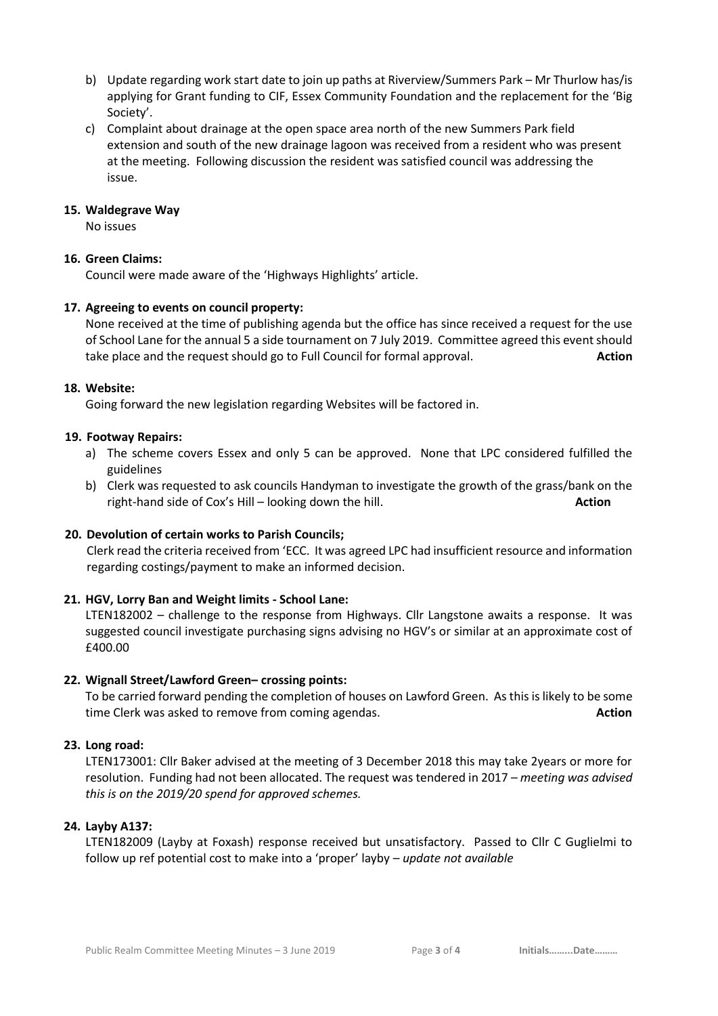- b) Update regarding work start date to join up paths at Riverview/Summers Park Mr Thurlow has/is applying for Grant funding to CIF, Essex Community Foundation and the replacement for the 'Big Society'.
- c) Complaint about drainage at the open space area north of the new Summers Park field extension and south of the new drainage lagoon was received from a resident who was present at the meeting. Following discussion the resident was satisfied council was addressing the issue.

#### **15. Waldegrave Way**

No issues

## **16. Green Claims:**

Council were made aware of the 'Highways Highlights' article.

#### **17. Agreeing to events on council property:**

None received at the time of publishing agenda but the office has since received a request for the use of School Lane for the annual 5 a side tournament on 7 July 2019. Committee agreed this event should take place and the request should go to Full Council for formal approval. **Action**

## **18. Website:**

Going forward the new legislation regarding Websites will be factored in.

#### **19. Footway Repairs:**

- a) The scheme covers Essex and only 5 can be approved. None that LPC considered fulfilled the guidelines
- b) Clerk was requested to ask councils Handyman to investigate the growth of the grass/bank on the right-hand side of Cox's Hill – looking down the hill. **Action**

## **20. Devolution of certain works to Parish Councils;**

Clerk read the criteria received from 'ECC. It was agreed LPC had insufficient resource and information regarding costings/payment to make an informed decision.

## **21. HGV, Lorry Ban and Weight limits - School Lane:**

LTEN182002 – challenge to the response from Highways. Cllr Langstone awaits a response. It was suggested council investigate purchasing signs advising no HGV's or similar at an approximate cost of £400.00

#### **22. Wignall Street/Lawford Green– crossing points:**

To be carried forward pending the completion of houses on Lawford Green. As this is likely to be some time Clerk was asked to remove from coming agendas. **Action**

## **23. Long road:**

LTEN173001: Cllr Baker advised at the meeting of 3 December 2018 this may take 2years or more for resolution. Funding had not been allocated. The request was tendered in 2017 – *meeting was advised this is on the 2019/20 spend for approved schemes.*

## **24. Layby A137:**

LTEN182009 (Layby at Foxash) response received but unsatisfactory. Passed to Cllr C Guglielmi to follow up ref potential cost to make into a 'proper' layby – *update not available*